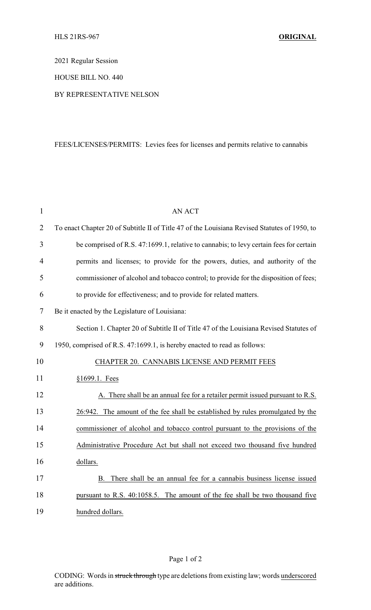2021 Regular Session

HOUSE BILL NO. 440

BY REPRESENTATIVE NELSON

## FEES/LICENSES/PERMITS: Levies fees for licenses and permits relative to cannabis

| $\mathbf{1}$   | <b>AN ACT</b>                                                                                |
|----------------|----------------------------------------------------------------------------------------------|
| $\overline{2}$ | To enact Chapter 20 of Subtitle II of Title 47 of the Louisiana Revised Statutes of 1950, to |
| 3              | be comprised of R.S. 47:1699.1, relative to cannabis; to levy certain fees for certain       |
| $\overline{4}$ | permits and licenses; to provide for the powers, duties, and authority of the                |
| 5              | commissioner of alcohol and tobacco control; to provide for the disposition of fees;         |
| 6              | to provide for effectiveness; and to provide for related matters.                            |
| 7              | Be it enacted by the Legislature of Louisiana:                                               |
| 8              | Section 1. Chapter 20 of Subtitle II of Title 47 of the Louisiana Revised Statutes of        |
| 9              | 1950, comprised of R.S. 47:1699.1, is hereby enacted to read as follows:                     |
| 10             | CHAPTER 20. CANNABIS LICENSE AND PERMIT FEES                                                 |
| 11             | §1699.1. Fees                                                                                |
| 12             | A. There shall be an annual fee for a retailer permit issued pursuant to R.S.                |
| 13             | 26:942. The amount of the fee shall be established by rules promulgated by the               |
| 14             | commissioner of alcohol and tobacco control pursuant to the provisions of the                |
| 15             | Administrative Procedure Act but shall not exceed two thousand five hundred                  |
| 16             | dollars.                                                                                     |
| 17             | There shall be an annual fee for a cannabis business license issued<br>B.                    |
| 18             | pursuant to R.S. 40:1058.5. The amount of the fee shall be two thousand five                 |
| 19             | hundred dollars.                                                                             |